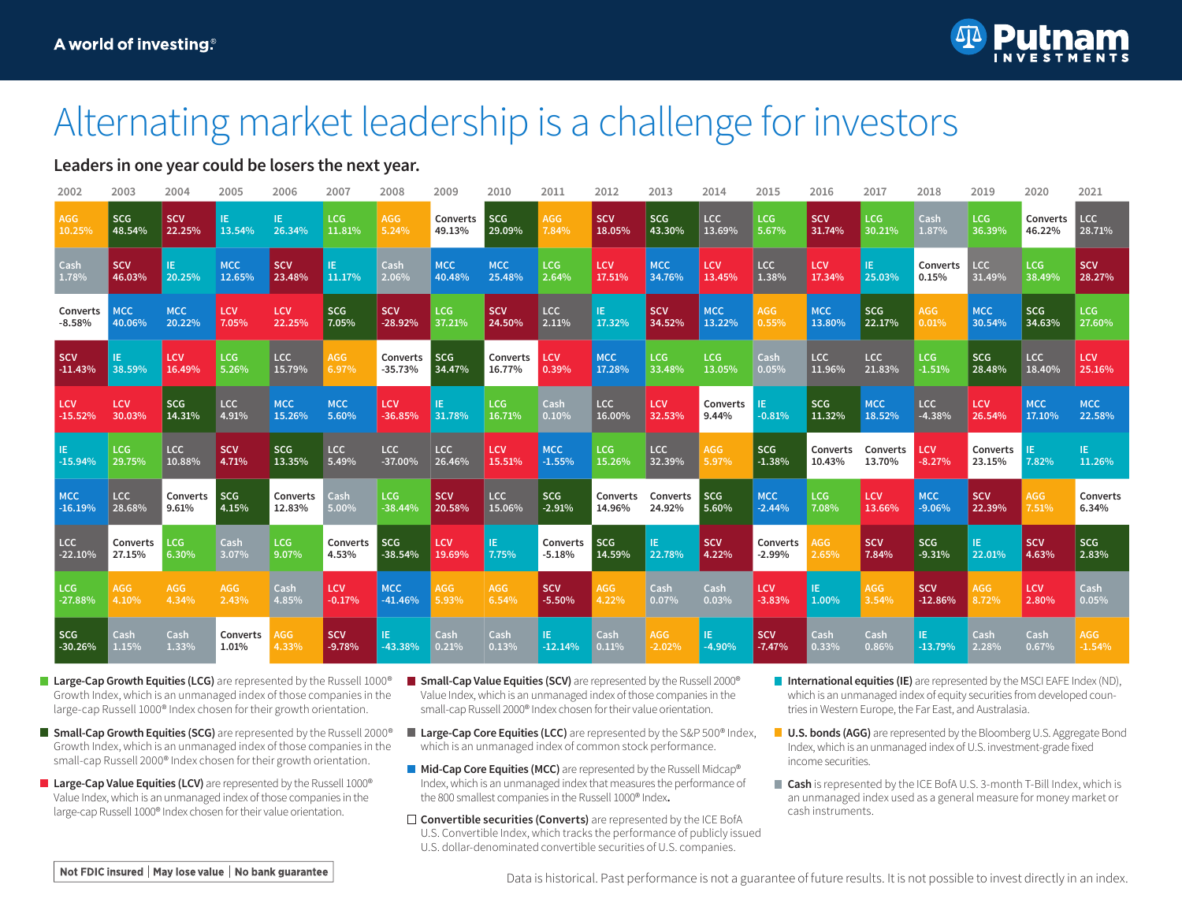

## Alternating market leadership is a challenge for investors

### **Leaders in one year could be losers the next year.**

| 2002       | 2003       | 2004       | 2005       | 2006       | 2007       | 2008       | 2009       | 2010       | 2011       | 2012              | 2013       | 2014       | 2015       | 2016       | 2017       | 2018       | 2019       | 2020       | 2021        |
|------------|------------|------------|------------|------------|------------|------------|------------|------------|------------|-------------------|------------|------------|------------|------------|------------|------------|------------|------------|-------------|
| AGG        | <b>SCG</b> | <b>SCV</b> | IE.        | IE.        | <b>LCG</b> | <b>AGG</b> | Converts   | <b>SCG</b> | AGG        | <b>SCV</b>        | <b>SCG</b> | <b>LCC</b> | <b>LCG</b> | <b>SCV</b> | LCG        | Cash       | LCG        | Converts   | <b>LCC</b>  |
| 10.25%     | 48.54%     | 22.25%     | 13.54%     | 26.34%     | 11.81%     | 5.24%      | 49.13%     | 29.09%     | 7.84%      | 18.05%            | 43.30%     | 13.69%     | 5.67%      | 31.74%     | 30.21%     | 1.87%      | 36.39%     | 46.22%     | 28.71%      |
| Cash       | <b>SCV</b> | TE.        | <b>MCC</b> | <b>SCV</b> | IE.        | Cash       | <b>MCC</b> | <b>MCC</b> | LCG        | <b>LCV</b>        | <b>MCC</b> | LCV        | LCC        | LCV        | IE.        | Converts   | LCC        | LCG        | <b>SCV</b>  |
| 1.78%      | 46.03%     | 20.25%     | 12.65%     | 23.48%     | 11.17%     | 2.06%      | 40.48%     | 25.48%     | 2.64%      | 17.51%            | 34.76%     | 13.45%     | 1.38%      | 17.34%     | 25.03%     | 0.15%      | 31.49%     | 38.49%     | 28.27%      |
| Converts   | <b>MCC</b> | <b>MCC</b> | <b>LCV</b> | LCV        | SCG        | <b>SCV</b> | LCG        | <b>SCV</b> | $ $ LCC    | IE.               | <b>SCV</b> | <b>MCC</b> | AGG        | <b>MCC</b> | <b>SCG</b> | AGG        | <b>MCC</b> | <b>SCG</b> | LCG         |
| $-8.58%$   | 40.06%     | 20.22%     | 7.05%      | 22.25%     | 7.05%      | $-28.92%$  | 37.21%     | 24.50%     | 2.11%      | 17.32%            | 34.52%     | 13.22%     | 0.55%      | 13.80%     | 22.17%     | $0.01\%$   | 30.54%     | 34.63%     | 27.60%      |
| <b>SCV</b> | TE.        | <b>LCV</b> | <b>LCG</b> | <b>LCC</b> | AGG        | Converts   | <b>SCG</b> | Converts   | <b>LCV</b> | <b>MCC</b>        | <b>LCG</b> | LCG        | Cash       | LCC        | <b>LCC</b> | LCG        | <b>SCG</b> | <b>LCC</b> | <b>LCV</b>  |
| $-11.43%$  | 38.59%     | 16.49%     | 5.26%      | 15.79%     | 6.97%      | $-35.73%$  | 34.47%     | 16.77%     | 0.39%      | 17.28%            | 33.48%     | 13.05%     | 0.05%      | 11.96%     | 21.83%     | $-1.51%$   | 28.48%     | 18.40%     | 25.16%      |
| <b>LCV</b> | LCV        | <b>SCG</b> | LCC        | <b>MCC</b> | <b>MCC</b> | LCV        | IE.        | LCG        | Cash       | LCC               | LCV        | Converts   | -IE        | SCG        | <b>MCC</b> | LCC        | LCV        | <b>MCC</b> | <b>MCC</b>  |
| $-15.52%$  | 30.03%     | 14.31%     | 4.91%      | 15.26%     | 5.60%      | $-36.85%$  | 31.78%     | 16.71%     | 0.10%      | 16.00%            | 32.53%     | 9.44%      | $-0.81%$   | 11.32%     | 18.52%     | $-4.38%$   | 26.54%     | 17.10%     | 22.58%      |
| IE.        | LCG        | LCC        | <b>SCV</b> | SCG        | LCC        | <b>LCC</b> | <b>LCC</b> | LCV        | <b>MCC</b> | LCG               | <b>LCC</b> | AGG        | <b>SCG</b> | Converts   | Converts   | LCV        | Converts   | IE.        | IE.         |
| -15.94%    | 29.75%     | 10.88%     | 4.71%      | 13.35%     | 5.49%      | $-37.00\%$ | 26.46%     | 15.51%     | $-1.55%$   | 15.26%            | 32.39%     | 5.97%      | $-1.38%$   | 10.43%     | 13.70%     | $-8.27%$   | 23.15%     | 7.82%      | 11.26%      |
| <b>MCC</b> | LCC        | Converts   | SCG        | Converts   | Cash       | LCG        | <b>SCV</b> | LCC        | <b>SCG</b> | Converts Converts | 24.92%     | <b>SCG</b> | <b>MCC</b> | LCG        | LCV        | <b>MCC</b> | <b>SCV</b> | AGG        | Converts    |
| $-16.19%$  | 28.68%     | 9.61%      | 4.15%      | 12.83%     | 5.00%      | $-38.44%$  | 20.58%     | 15.06%     | $-2.91%$   | 14.96%            |            | 5.60%      | $-2.44%$   | 7.08%      | 13.66%     | $-9.06%$   | 22.39%     | 7.51%      | 6.34%       |
| LCC        | Converts   | LCG        | Cash       | LCG        | Converts   | <b>SCG</b> | <b>LCV</b> | IE.        | Converts   | <b>SCG</b>        | IE.        | <b>SCV</b> | Converts   | <b>AGG</b> | <b>SCV</b> | <b>SCG</b> | IE.        | <b>SCV</b> | <b>SCG</b>  |
| $-22.10%$  | 27.15%     | 6.30%      | 3.07%      | 9.07%      | 4.53%      | $-38.54%$  | 19.69%     | 7.75%      | $-5.18%$   | 14.59%            | 22.78%     | 4.22%      | $-2.99%$   | 2.65%      | 7.84%      | $-9.31%$   | 22.01%     | 4.63%      | 2.83%       |
| LCG        | AGG        | AGG        | AGG        | Cash       | LCV        | <b>MCC</b> | AGG        | <b>AGG</b> | <b>SCV</b> | AGG               | Cash       | Cash       | LCV        | IE.        | AGG        | <b>SCV</b> | <b>AGG</b> | <b>LCV</b> | <b>Cash</b> |
| -27.88%    | 4.10%      | 4.34%      | 2.43%      | 4.85%      | $-0.17%$   | $-41.46%$  | 5.93%      | 6.54%      | $-5.50%$   | 4.22%             | 0.07%      | 0.03%      | $-3.83%$   | 1.00%      | 3.54%      | $-12.86%$  | 8.72%      | 2.80%      | 0.05%       |
| SCG        | Cash       | Cash       | Converts   | <b>AGG</b> | <b>SCV</b> | IE.        | Cash       | Cash       | IE.        | Cash              | AGG        | IE.        | <b>SCV</b> | Cash       | Cash       | IE.        | Cash       | Cash       | AGG         |
| $-30.26%$  | 1.15%      | 1.33%      | 1.01%      | 4.33%      | $-9.78%$   | $-43.38%$  | 0.21%      | 0.13%      | $-12.14%$  | $ 0.11\%$         | $-2.02%$   | $-4.90%$   | $-7.47%$   | 0.33%      | 0.86%      | $-13.79%$  | 2.28%      | 0.67%      | $-1.54%$    |

- Large-Cap Growth Equities (LCG) are represented by the Russell 1000<sup>®</sup> Growth Index, which is an unmanaged index of those companies in the large-cap Russell 1000® Index chosen for their growth orientation.
- **Small-Cap Growth Equities (SCG)** are represented by the Russell 2000<sup>®</sup> Growth Index, which is an unmanaged index of those companies in the small-cap Russell 2000® Index chosen for their growth orientation.
- **Large-Cap Value Equities (LCV)** are represented by the Russell 1000® Value Index, which is an unmanaged index of those companies in the large-cap Russell 1000® Index chosen for their value orientation.
- **Small-Cap Value Equities (SCV)** are represented by the Russell 2000<sup>®</sup> Value Index, which is an unmanaged index of those companies in the small-cap Russell 2000® Index chosen for their value orientation.
- **Large-Cap Core Equities (LCC)** are represented by the S&P 500<sup>®</sup> Index, which is an unmanaged index of common stock performance.
- **Mid-Cap Core Equities (MCC)** are represented by the Russell Midcap® Index, which is an unmanaged index that measures the performance of the 800 smallest companies in the Russell 1000® Index**.**
- □ **Convertible securities (Converts)** are represented by the ICE BofA U.S. Convertible Index, which tracks the performance of publicly issued U.S. dollar-denominated convertible securities of U.S. companies.
- **International equities (IE)** are represented by the MSCI EAFE Index (ND), which is an unmanaged index of equity securities from developed countries in Western Europe, the Far East, and Australasia.
- **U.S. bonds (AGG)** are represented by the Bloomberg U.S. Aggregate Bond Index, which is an unmanaged index of U.S. investment-grade fixed income securities.
- **Cash** is represented by the ICE BofA U.S. 3-month T-Bill Index, which is an unmanaged index used as a general measure for money market or cash instruments.